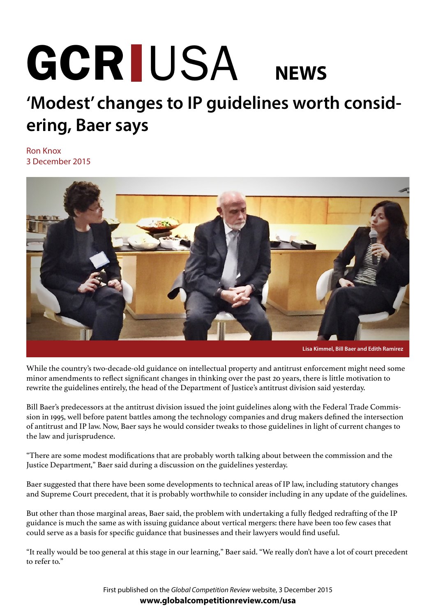## **NEWS** GCR IUSA

## **'Modest' changes to IP guidelines worth considering, Baer says**

Ron Knox 3 December 2015



While the country's two-decade-old guidance on intellectual property and antitrust enforcement might need some minor amendments to reflect significant changes in thinking over the past 20 years, there is little motivation to rewrite the guidelines entirely, the head of the Department of Justice's antitrust division said yesterday.

Bill Baer's predecessors at the antitrust division issued the joint guidelines along with the Federal Trade Commission in 1995, well before patent battles among the technology companies and drug makers defined the intersection of antitrust and IP law. Now, Baer says he would consider tweaks to those guidelines in light of current changes to the law and jurisprudence.

"There are some modest modifications that are probably worth talking about between the commission and the Justice Department," Baer said during a discussion on the guidelines yesterday.

Baer suggested that there have been some developments to technical areas of IP law, including statutory changes and Supreme Court precedent, that it is probably worthwhile to consider including in any update of the guidelines.

But other than those marginal areas, Baer said, the problem with undertaking a fully fledged redrafting of the IP guidance is much the same as with issuing guidance about vertical mergers: there have been too few cases that could serve as a basis for specific guidance that businesses and their lawyers would find useful.

"It really would be too general at this stage in our learning," Baer said. "We really don't have a lot of court precedent to refer to."

> First published on the *Global Competition Review* website, 3 December 2015 **[www.globalcompetitionreview.com/usa](http://globalcompetitionreview.com/usa/article/39992/modest-changes-ip-guidelines-worth-considering-baer-says/)**